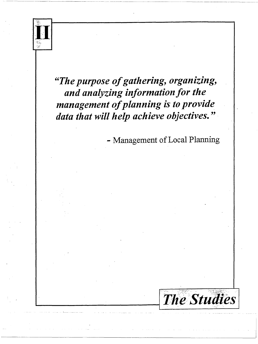

"The purpose of gathering, organizing, and analyzing information for the management of planning is to provide data that will help achieve objectives."

- Management of Local Planning

**The Studies**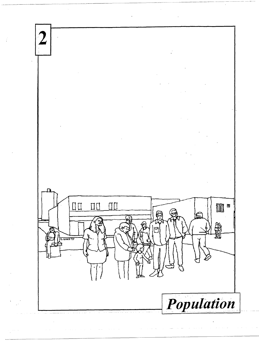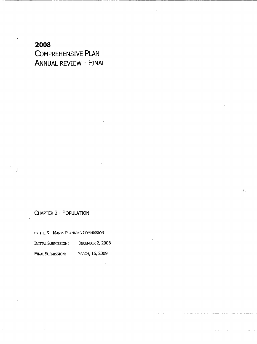**2008 COMPREHENSIVE PLAN ANNUAL REVIEW - FINAL** 

# CHAPTER 2 - POPULATION

 $\bigcup$ 

BY THE ST. MARYS PLANNING COMMISSION

| Inittal Submission: | DECEMBER 2, 2008 |
|---------------------|------------------|
| Final Submission:   | MARCH, 16, 2009  |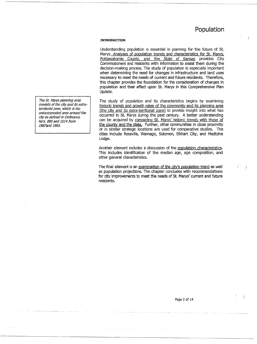### **INTRODUCTION**

Understanding population is essential in planning for the future of St. Marys. Analyses of population trends and characteristics for St. Marys, Pottawatomie County, and the State of Kansas provides City Commissioners and residents with information to assist them during the decision-making process. The study of population is especially important when determining the need for changes in infrastructure and land uses necessary to meet the needs of current and future residents. Therefore, this chapter provides the foundation for the consideration of changes in population and their affect upon St. Marys in this Comprehensive Plan Update.

The study of population and its characteristics begins by examining historic trends and growth rates of the community and its planning area (the city and its extra-territorial zone) to provide insight into what has occurred in St. Marys during the past century. A better understanding can be acquired by comparing St. Marys' historic trends with those of the county and the state. Further, other communities in close proximity or in similar strategic locations are used for comparative studies. The cities include Rossville, Wamego, Solomon, Elkhart City, and Medicine Lodge.

Another element includes a discussion of the population characteristics. This includes identification of the median age, age composition, and other general characteristics.

The final element is an examination of the city's population trend as well as population projections. The chapter concludes with recommendations for city improvements to meet the needs of St. Marys' current and future residents.

The St. Marys planning area consists of the city and its extraterritorial zone, which is the unincorporated area around the city as defined in Ordinance No's. 880 and 1014 from 1987and 1993.

Page 2 of 14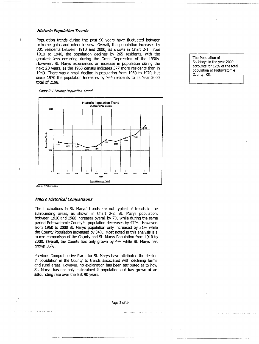### **Historic Population Trends**

 $\overline{\phantom{a}}$ 

-1

Population trends during the past 90 years have fluctuated between extreme gains and minor losses. Overall, the population increases by 801 residents between 1910 and 2000, as shown in Chart 2-1. From 1910 to 1940, the population declines by 265 residents, with the greatest loss occurring during the Great Depression of the 1930s. However, St. Marys experienced an increase in population during the next 20 years, as the 1960 census indicates 377 more residents than in 1940. There was a small decline in population from 1960 to 1970, but since 1970 the population increases by 764 residents to its Year 2000 total of 2198.

Chart 2-1 Historic Population Trend



St. Marys in the year 2000 accounts for 12% of the total population of Pottawatomie County, KS.

The Population of

#### **Source: US Census Data**

#### **Macro Historical Comparisons**

The fluctuations in St. Marys' trends are not typical of trends in the surrounding areas, as shown in Chart 2-2. St. Marys population, between 1910 and 1960 increases overall by 7% while during the same period Pottawatomie County's population decreases by 47%. However, from 1960 to 2000 St. Marys population only increased by 31% while the County Population increased by 34%. Most noted in this analysis is a macro comparison of the County and St. Marys Population from 1910 to 2000. Overall, the County has only grown by 4% while St. Marys has grown 36%.

Previous Comprehensive Plans for St. Marys have attributed the decline in population in the County to trends associated with declining farms and rural areas. However, no explanation has been attributed as to how St. Marys has not only maintained it population but has grown at an astounding rate over the last 90 years.

### Page 3 of 14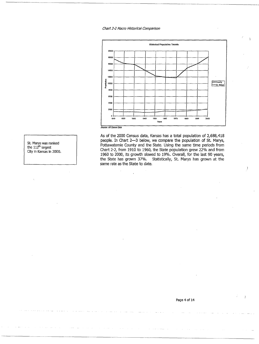### Chart 2-2 Macro Historical Comparison



As of the 2000 Census data, Kansas has a total population of 2,688,418 people. In Chart 2-3 below, we compare the population of St. Marys, Pottawatomie County and the State. Using the same time periods from Chart 2-2, from 1910 to 1960, the State population grew 22% and from 1960 to 2000, its growth slowed to 19%. Overall, for the last 90 years, the State has grown 37%. Statistically, St. Marys has grown at the same rate as the State to date.

St. Marys was ranked the 112<sup>th</sup> largest City in Kansas in 2000.

Page 4 of 14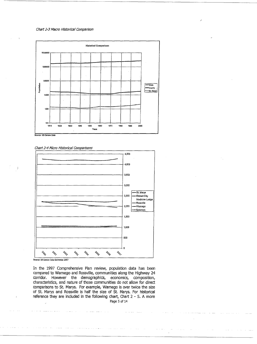### Chart 2-3 Macro Historical Comparison



Chart 2-4 Micro Historical Comparisons



In the 1997 Comprehensive Plan review, population data has been compared to Wamego and Rossville, communities along the Highway 24 corridor. However the demographics, economics, composition, characteristics, and nature of those communities do not allow for direct comparisons to St. Marys. For example, Wamego is over twice the size of St. Marys and Rossville is half the size of St. Marys. For historical reference they are included in the following chart, Chart 2 - 5. A more Page 5 of 14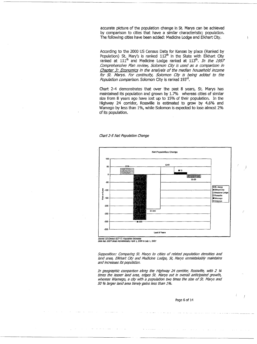accurate picture of the population change in St. Marys can be achieved by comparison to cities that have a similar characteristic; population. The following cities have been added: Medicine Lodge and Elkhart City.

According to the 2000 US Census Data for Kansas by place (Ranked by Population) St. Mary's is ranked 112<sup>th</sup> in the State with Elkhart City ranked at 111<sup>th</sup> and Medicine Lodge ranked at 113<sup>th</sup>. In the 1997 Comprehensive Plan review, Solomon City is used as a comparison in Chapter 3: Economics in the analysis of the median household income for St. Marys. For continuity, Solomon City is being added to the Population comparison. Solomon City is ranked 193<sup>rd</sup>.

Chart 2-4 demonstrates that over the past 8 years, St. Marys has maintained its population and grown by 1.7% whereas cities of similar size from 8 years ago have lost up to 15% of their population. In the Highway 24 corridor, Rossville is estimated to grow by 4.6% and Wamego by less than 1%, while Solomon is expected to lose almost 2% of its population.



#### Chart 2-5 Net Population Change

Data Set: 2007 Listed Alphabetically: April 1, 2000 to July 1, 2007

Supposition: Comparing St. Marys to cities of related population densities and land area, Elkhart City and Medicine Lodge, St, Marys unmistakably maintains and increases its population.

In geographic comparison along the Highway 24 corridor, Rossville, with 2 1/4 times the lesser land area, edges St. Marys out in overall anticipated growth, whereas Wamego, a city with a population two times the size of St. Marys and 50 % larger land area barely gains less than 1%.

Page 6 of 14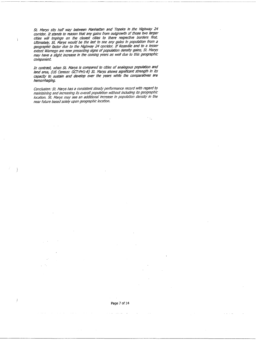St. Marys sits half way between Manhattan and Topeka in the Highway 24 corridor. It stands to reason that any gains from outgrowth of those two larger cities will Impinge on the closest cities to there respective borders first Ultimately, St. Marys would be the last to see any gains in population from a<br>geographic factor due to the Highway 24 corridor. If Rossville and to a lesser extent Wamego are now presenting signs of population density gains, St. Marys may have a slight increase in the coming years as well due to this geographic component

ĵ.

 $\left\{ \right\}$ 

 $\, \big)$ 

·---------- ---------- - - -----~--- ·---·-- --··-- -----------------~---

 $\mathcal{F}(\mathcal{G})$ 

In contrast, when St. Marys is compared to cities of analogous population and land area, (US Census: GCT-PH1-R) St Marys shows significant strength in its capacity to sustain and develop over the years while the comparatives are hemorrhaging.

Conclusion: St. Marys has a consistent steady performance record with regard to maintaining and increasing its overall population without including its geographic location. St Marys may see an additional increase in population density in the near future based solely upon geographic location.

 $\omega = \omega$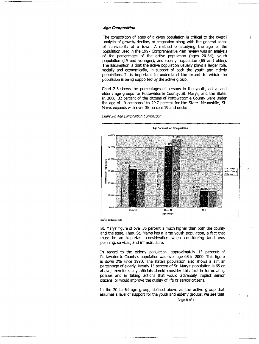### **Age Composition**

The composition of ages of a given population is critical to the overall analysis of growth, decline, or stagnation along with the general sense of survivability of a town. A method of studying the age of the population used in the 1997 Comprehensive Plan review was an analysis of the percentages of the active population (ages 20-64), youth population (19 and younger), and elderly population (65 and older). The assumption is that the active population usually plays a larger role, socially and economically, in support of both the youth and elderly populations. It is important to understand the extent to which the population is being supported by the active group.

Chart 2-6 shows the percentages of persons in the youth, active and elderly age groups for Pottawatomie County, St. Marys, and the State. In 2000, 32 percent of the citizens of Pottawatomie County were under the age of 19 compared to 29.7 percent for the State. Meanwhile, St. Marys expands with over 35 percent 19 and under.



Chart 2-6 Age Composition Comparison

Source: US Census Data

St. Marys' figure of over 35 percent is much higher than both the county and the state. Thus, St. Marys has a large youth population, a fact that must be an important consideration when considering land use, planning, services, and infrastructure.

In regard to the elderly population, approximately 13 percent of Pottawatomie County's population was over age 65 in 2000. This figure is down 2% since 1990. The state's population also shows a similar percentage of elderly. Nearly 15 percent of St. Marys' population is 65 or above; therefore, city officials should consider this fact in formulating policies and in taking actions that would adversely impact senior citizens, or would improve the quality of life or senior citizens.

In the 20 to 64 age group, defined above as the active group that assumes a level of support for the youth and elderly groups, we see that

Page 8 of 14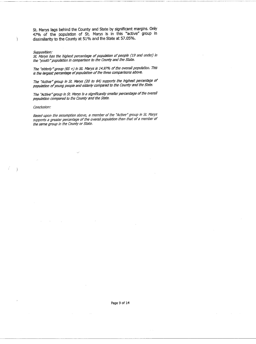St. Marys lags behind the County and State by significant margins. Only 47% of the population of St. Marys is in this "active" group in dissimilarity to the County at 51 % and the State at 57.05%.

### Supposition:

Ï

 $\lambda$ 

St. Marys has the highest percentage of population of people (19 and under) in the ''youth" population in comparison to the County and the State.

The "elderly" group (65 +) in St. Marys is 14.97% of the overall population. This is the largest percentage of population of the three comparisons above.

The "Active" group in St. Marys (20 to 64) supports the highest percentage of population of young people and elderly compared to the County and the State.

The "Active" group in St. Marys is a significantly smaller percentage of the overall population compared to the County and the State.

#### Conclusion:

Based upon the assumption above, a member of the "Active" group in St. Marys supports a greater percentage of the overall population than that of a member of the same group in the County or State.

Page 9 of 14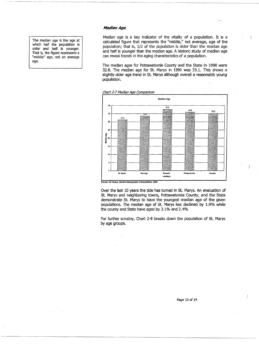The median age is the age at which half the population is older and half is younger. That is, the figure represents a "middle" age, not an average age.

### **Median Age**

Median age is a key indicator of the vitality of a population. It is a calculated figure that represents the "middle," not average, age of the population; that is, 1/2 of the population is older than the median age and half is younger than the median age. A historic study of median age can reveal trends in the aging characteristics of a population.

----·- -----·- ------

The median ages for Pottawatomie County and the State in 1990 were 32.8. The median age for St. Marys in 1990 was 33.1. This shows a slightly older age trend in St. Marys although overall a reasonably young ·population.



Chart 2-7 Median Age Comparison

Source: us Census, General Demographic Charactenstlcs: 2000

Over the last 10 years the tide has turned in St. Marys. An evaluation of St. Marys and neighboring towns, Pottawatomie County, and the State demonstrate St. Marys to have the youngest median age of the given populations. The median age of St. Marys has declined by 1.9% while the county and State have aged by 3.1% and 2.4%

For further scrutiny, Chart 2-8 breaks down the population of St. Marys by age groups.

 $\Big\}$ 

Ì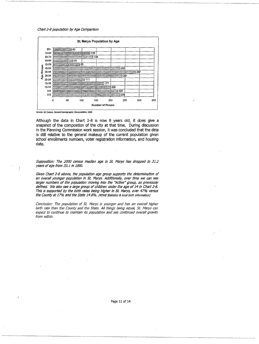#### Chart 2-8 population by Age Comparison



Source: US Census, General Demographic Characteristics: 2000

Although the data in Chart 2-8 is now 8 years old, it does give a snapshot of the composition of the city at that time. During discussion in the Planning Commission work session, it was concluded that the data is still relative to the general makeup of the current population given school enrollments numbers, voter registration information, and housing data.

Supposition: The 2000 census median age in St. Marys has dropped to 31.2 years of age from 33.1 in 1990.

Given Chart 2-8 above, the population age group supports the determination of an overall younger population in St. Marys. Additionally, over time we can see larger numbers of the population moving into the "Active" group, as previously defined. We also see a large group of children under the age of 14 in Chart 2-8. This is supported by the birth rates being higher in St. Marys, over 47% versus the County at 17% and the State 14.8%. (KDHE Statistics & local birth information)

Conclusion: The population of St. Marys is younger and has an overall higher birth rate than the County and the State. All things being equal, St. Marys can expect to continue to maintain its population and see continued overall growth from within,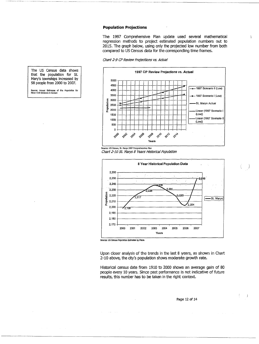### **Population Projections**

The 1997 Comprehensive Plan update used several mathematical regression methods to project estimated population numbers out to 2015. The graph below, using only the projected low number from both compared to US Census data for the corresponding time frames.

 $\mathcal{L}$ 

ţ  $\frac{1}{2}$ 

Chart 2-9 CP Review Projections vs. Actual



**source: us census, St. Marys 1997 Comprehensive Plan**  Chart 2-10 St. Marys 8 Years Historical Population



Source: US Census Population Estimates by Place.

Upon closer analysis of the trends in the last 8 years, as shown in Chart 2-10 above, the city's population shows moderate growth rate.

Historical census date from 1910 to 2000 shows an average gain of 80 people every 10 years. Since past performance is not indicative of future results, this number has to be taken in the right context.

The US Census data shows that the population for St. Mary's townships increased by SB people from 2000 to 2007.

**Source: Annual Estimates of the Population for**<br>Minor Clvil Divisions in Kansas

Page 12 of 14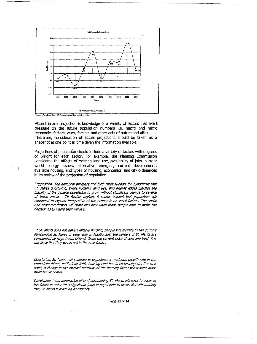

 $\overline{\phantom{a}}$ 

Absent in any projection is knowledge of a variety of.factors that exert pressure on the future population numbers i.e. macro and micro economics factors, wars, famine, and other acts of nature and alike. Therefore, consideration of actual projections should be taken as a snapshot at one point in time given the information available.

Projections of population should include a variety of factors with degrees of weight for each factor. For example, the Planning Commission considered the affects of existing land use, availability of jobs, current world energy issues, alternative energies, current development, available housing, and types of housing, economics, and city ordinances in its review of the projection of population.

Supposition: The historical averages and birth rates support the hypothesis that St. Marys is growing. While housing, land use, and energy issues indicate the inabillty of the general population to grow without significant change to several of those arenas. To further explain, it seems evident that population will continued to expand irrespective of the economic or social factors. The social and economic factors will come into play when those people have to make the decision as to where they will live.

If St. Marys does not have available housing, people will migrate to the country surrounding St. Marys or other towns. Additionally, the borders of St. Marys are surrounded by large tracts of land. Given the current price of corn and beef, it is not likely that they would sell in the near future.

Conclusion: St. Marys will continue to experience a moderate growth rate in the immediate future, until all available housing land has been developed. After that point, a change in the internal structure of the housing factor will require more mu/ti-family homes.

Development and annexation of land surrounding St. Marys will have to occur in the future in order for a significant jump in population to occur. Notwithstanding this, St. Marys is reaching its capacity.

Page 13 of 14